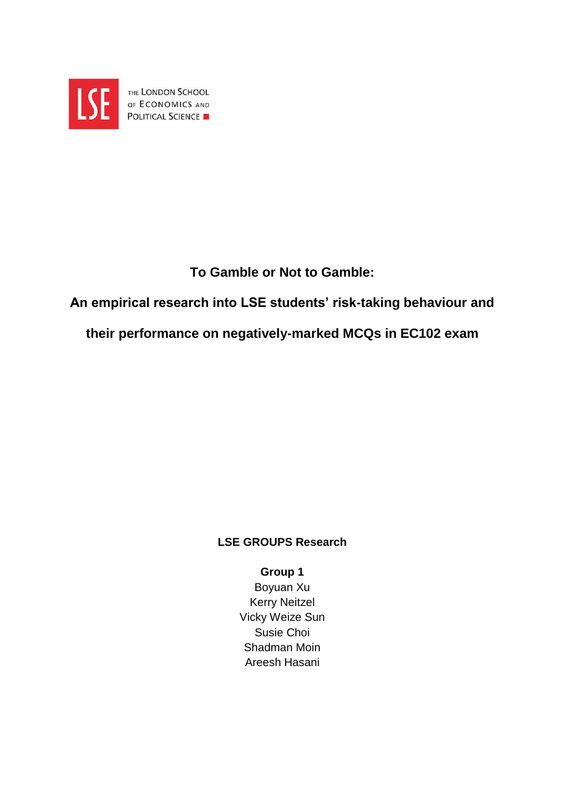

THE LONDON SCHOOL OF ECONOMICS AND **POLITICAL SCIENCE** 

# **To Gamble or Not to Gamble:**

# **An empirical research into LSE students' risk-taking behaviour and**

# **their performance on negatively-marked MCQs in EC102 exam**

# **LSE GROUPS Research**

# **Group 1**

Boyuan Xu Kerry Neitzel Vicky Weize Sun Susie Choi Shadman Moin Areesh Hasani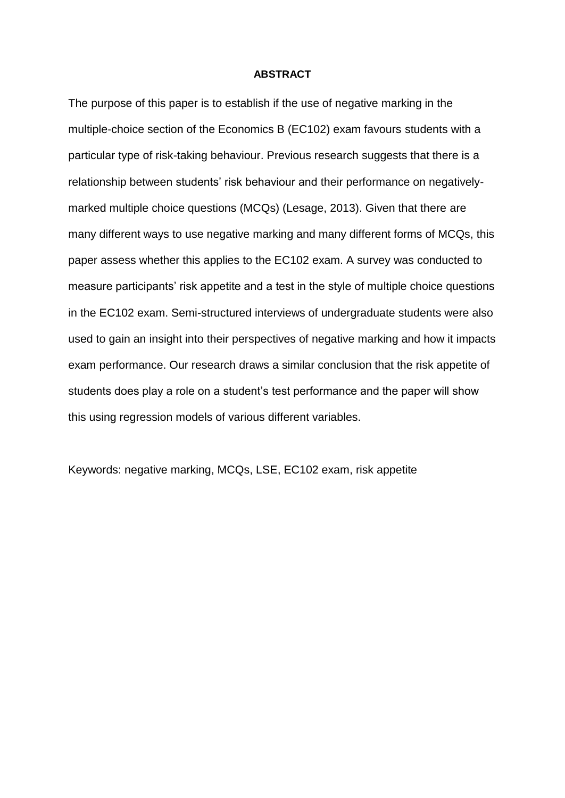#### **ABSTRACT**

The purpose of this paper is to establish if the use of negative marking in the multiple-choice section of the Economics B (EC102) exam favours students with a particular type of risk-taking behaviour. Previous research suggests that there is a relationship between students' risk behaviour and their performance on negativelymarked multiple choice questions (MCQs) (Lesage, 2013). Given that there are many different ways to use negative marking and many different forms of MCQs, this paper assess whether this applies to the EC102 exam. A survey was conducted to measure participants' risk appetite and a test in the style of multiple choice questions in the EC102 exam. Semi-structured interviews of undergraduate students were also used to gain an insight into their perspectives of negative marking and how it impacts exam performance. Our research draws a similar conclusion that the risk appetite of students does play a role on a student's test performance and the paper will show this using regression models of various different variables.

Keywords: negative marking, MCQs, LSE, EC102 exam, risk appetite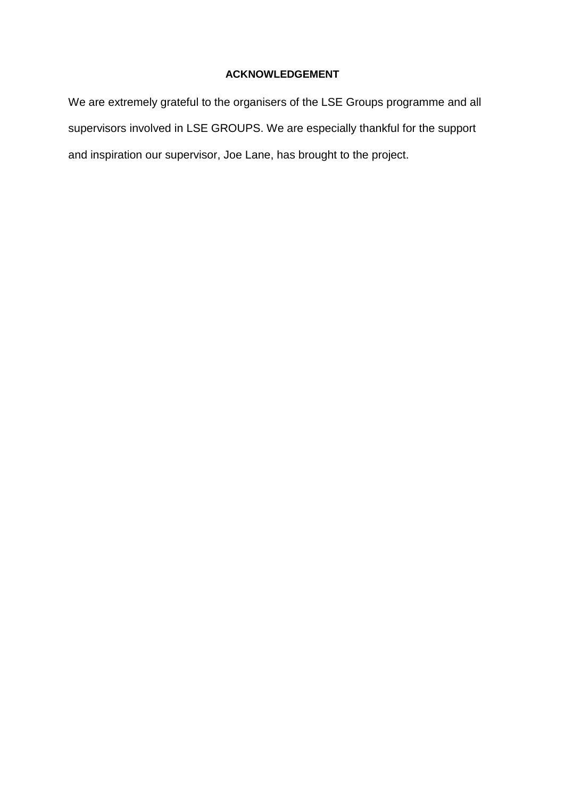### **ACKNOWLEDGEMENT**

We are extremely grateful to the organisers of the LSE Groups programme and all supervisors involved in LSE GROUPS. We are especially thankful for the support and inspiration our supervisor, Joe Lane, has brought to the project.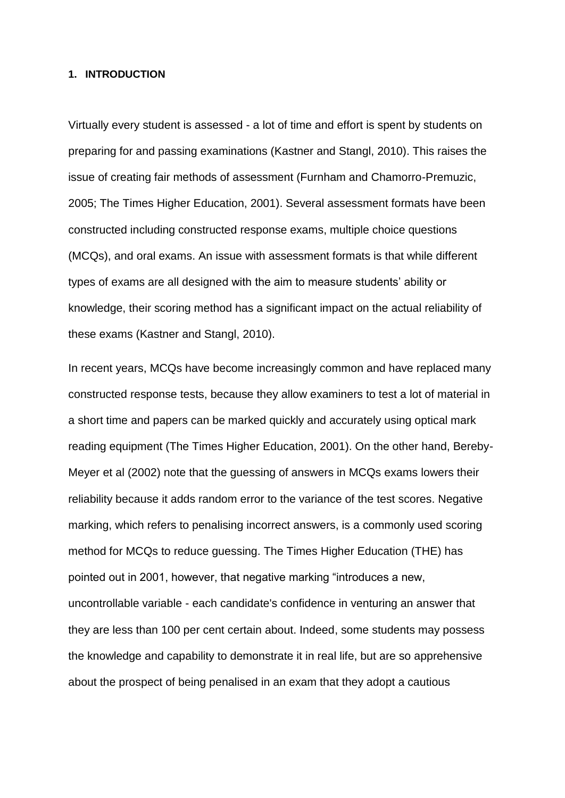#### **1. INTRODUCTION**

Virtually every student is assessed - a lot of time and effort is spent by students on preparing for and passing examinations (Kastner and Stangl, 2010). This raises the issue of creating fair methods of assessment (Furnham and Chamorro-Premuzic, 2005; The Times Higher Education, 2001). Several assessment formats have been constructed including constructed response exams, multiple choice questions (MCQs), and oral exams. An issue with assessment formats is that while different types of exams are all designed with the aim to measure students' ability or knowledge, their scoring method has a significant impact on the actual reliability of these exams (Kastner and Stangl, 2010).

In recent years, MCQs have become increasingly common and have replaced many constructed response tests, because they allow examiners to test a lot of material in a short time and papers can be marked quickly and accurately using optical mark reading equipment (The Times Higher Education, 2001). On the other hand, Bereby-Meyer et al (2002) note that the guessing of answers in MCQs exams lowers their reliability because it adds random error to the variance of the test scores. Negative marking, which refers to penalising incorrect answers, is a commonly used scoring method for MCQs to reduce guessing. The Times Higher Education (THE) has pointed out in 2001, however, that negative marking "introduces a new, uncontrollable variable - each candidate's confidence in venturing an answer that they are less than 100 per cent certain about. Indeed, some students may possess the knowledge and capability to demonstrate it in real life, but are so apprehensive about the prospect of being penalised in an exam that they adopt a cautious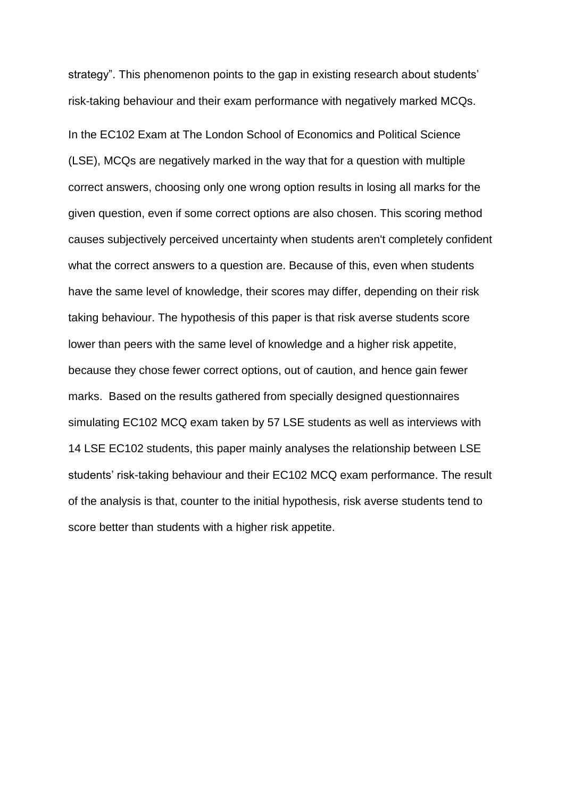strategy". This phenomenon points to the gap in existing research about students' risk-taking behaviour and their exam performance with negatively marked MCQs.

In the EC102 Exam at The London School of Economics and Political Science (LSE), MCQs are negatively marked in the way that for a question with multiple correct answers, choosing only one wrong option results in losing all marks for the given question, even if some correct options are also chosen. This scoring method causes subjectively perceived uncertainty when students aren't completely confident what the correct answers to a question are. Because of this, even when students have the same level of knowledge, their scores may differ, depending on their risk taking behaviour. The hypothesis of this paper is that risk averse students score lower than peers with the same level of knowledge and a higher risk appetite, because they chose fewer correct options, out of caution, and hence gain fewer marks. Based on the results gathered from specially designed questionnaires simulating EC102 MCQ exam taken by 57 LSE students as well as interviews with 14 LSE EC102 students, this paper mainly analyses the relationship between LSE students' risk-taking behaviour and their EC102 MCQ exam performance. The result of the analysis is that, counter to the initial hypothesis, risk averse students tend to score better than students with a higher risk appetite.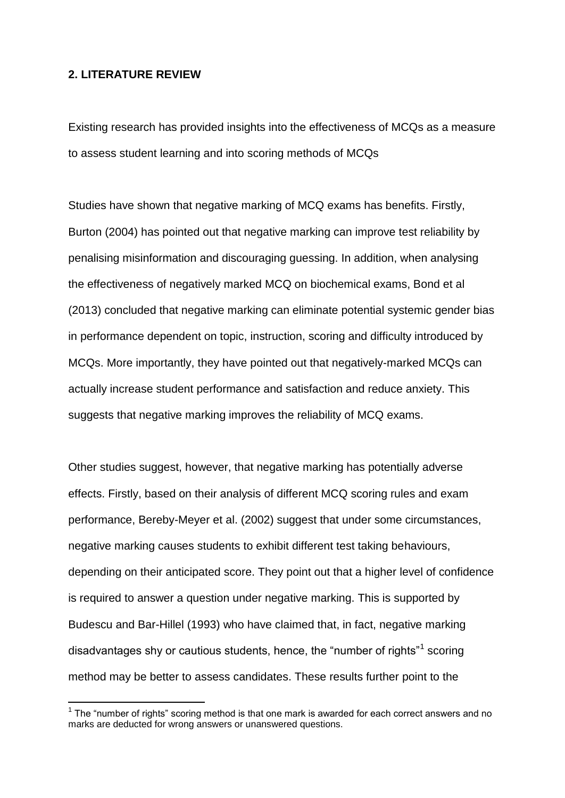#### **2. LITERATURE REVIEW**

-

Existing research has provided insights into the effectiveness of MCQs as a measure to assess student learning and into scoring methods of MCQs

Studies have shown that negative marking of MCQ exams has benefits. Firstly, Burton (2004) has pointed out that negative marking can improve test reliability by penalising misinformation and discouraging guessing. In addition, when analysing the effectiveness of negatively marked MCQ on biochemical exams, Bond et al (2013) concluded that negative marking can eliminate potential systemic gender bias in performance dependent on topic, instruction, scoring and difficulty introduced by MCQs. More importantly, they have pointed out that negatively-marked MCQs can actually increase student performance and satisfaction and reduce anxiety. This suggests that negative marking improves the reliability of MCQ exams.

Other studies suggest, however, that negative marking has potentially adverse effects. Firstly, based on their analysis of different MCQ scoring rules and exam performance, Bereby-Meyer et al. (2002) suggest that under some circumstances, negative marking causes students to exhibit different test taking behaviours, depending on their anticipated score. They point out that a higher level of confidence is required to answer a question under negative marking. This is supported by Budescu and Bar-Hillel (1993) who have claimed that, in fact, negative marking disadvantages shy or cautious students, hence, the "number of rights"<sup>1</sup> scoring method may be better to assess candidates. These results further point to the

 $1$  The "number of rights" scoring method is that one mark is awarded for each correct answers and no marks are deducted for wrong answers or unanswered questions.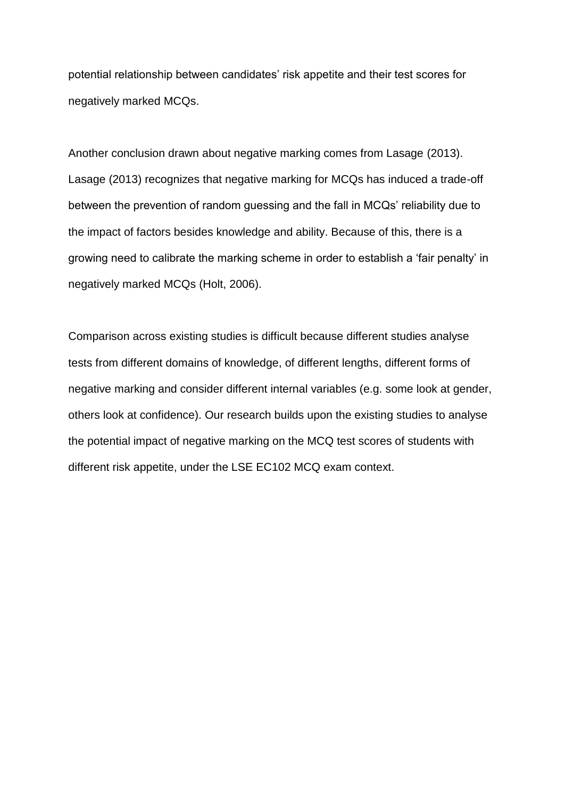potential relationship between candidates' risk appetite and their test scores for negatively marked MCQs.

Another conclusion drawn about negative marking comes from Lasage (2013). Lasage (2013) recognizes that negative marking for MCQs has induced a trade-off between the prevention of random guessing and the fall in MCQs' reliability due to the impact of factors besides knowledge and ability. Because of this, there is a growing need to calibrate the marking scheme in order to establish a 'fair penalty' in negatively marked MCQs (Holt, 2006).

Comparison across existing studies is difficult because different studies analyse tests from different domains of knowledge, of different lengths, different forms of negative marking and consider different internal variables (e.g. some look at gender, others look at confidence). Our research builds upon the existing studies to analyse the potential impact of negative marking on the MCQ test scores of students with different risk appetite, under the LSE EC102 MCQ exam context.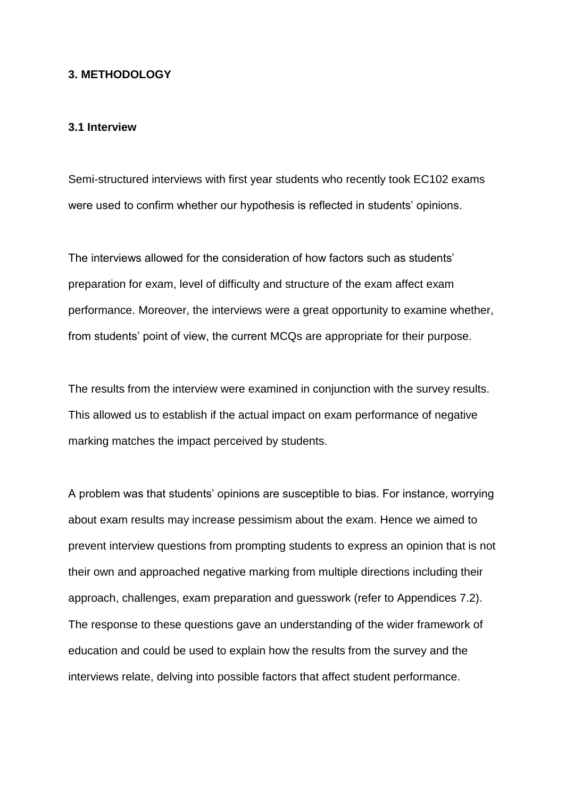#### **3. METHODOLOGY**

#### **3.1 Interview**

Semi-structured interviews with first year students who recently took EC102 exams were used to confirm whether our hypothesis is reflected in students' opinions.

The interviews allowed for the consideration of how factors such as students' preparation for exam, level of difficulty and structure of the exam affect exam performance. Moreover, the interviews were a great opportunity to examine whether, from students' point of view, the current MCQs are appropriate for their purpose.

The results from the interview were examined in conjunction with the survey results. This allowed us to establish if the actual impact on exam performance of negative marking matches the impact perceived by students.

A problem was that students' opinions are susceptible to bias. For instance, worrying about exam results may increase pessimism about the exam. Hence we aimed to prevent interview questions from prompting students to express an opinion that is not their own and approached negative marking from multiple directions including their approach, challenges, exam preparation and guesswork (refer to Appendices 7.2). The response to these questions gave an understanding of the wider framework of education and could be used to explain how the results from the survey and the interviews relate, delving into possible factors that affect student performance.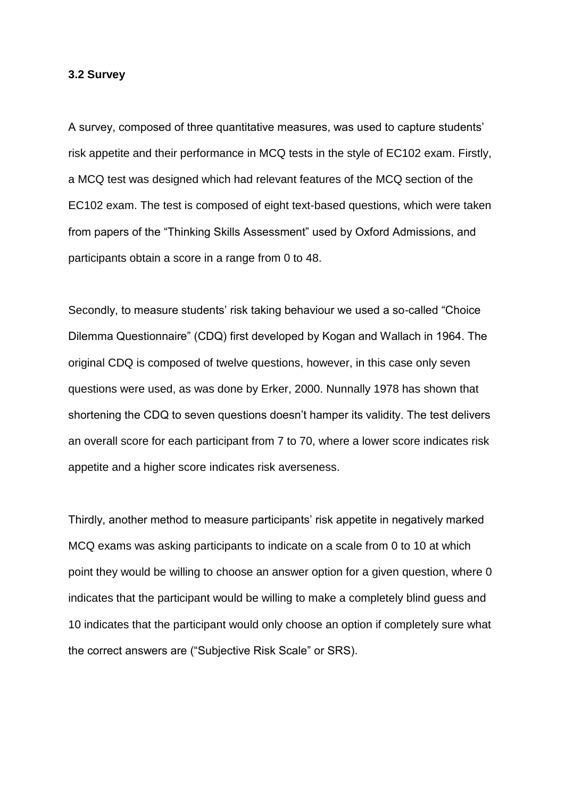#### **3.2 Survey**

A survey, composed of three quantitative measures, was used to capture students' risk appetite and their performance in MCQ tests in the style of EC102 exam. Firstly, a MCQ test was designed which had relevant features of the MCQ section of the EC102 exam. The test is composed of eight text-based questions, which were taken from papers of the "Thinking Skills Assessment" used by Oxford Admissions, and participants obtain a score in a range from 0 to 48.

Secondly, to measure students' risk taking behaviour we used a so-called "Choice Dilemma Questionnaire" (CDQ) first developed by Kogan and Wallach in 1964. The original CDQ is composed of twelve questions, however, in this case only seven questions were used, as was done by Erker, 2000. Nunnally 1978 has shown that shortening the CDQ to seven questions doesn't hamper its validity. The test delivers an overall score for each participant from 7 to 70, where a lower score indicates risk appetite and a higher score indicates risk averseness.

Thirdly, another method to measure participants' risk appetite in negatively marked MCQ exams was asking participants to indicate on a scale from 0 to 10 at which point they would be willing to choose an answer option for a given question, where 0 indicates that the participant would be willing to make a completely blind guess and 10 indicates that the participant would only choose an option if completely sure what the correct answers are ("Subjective Risk Scale" or SRS).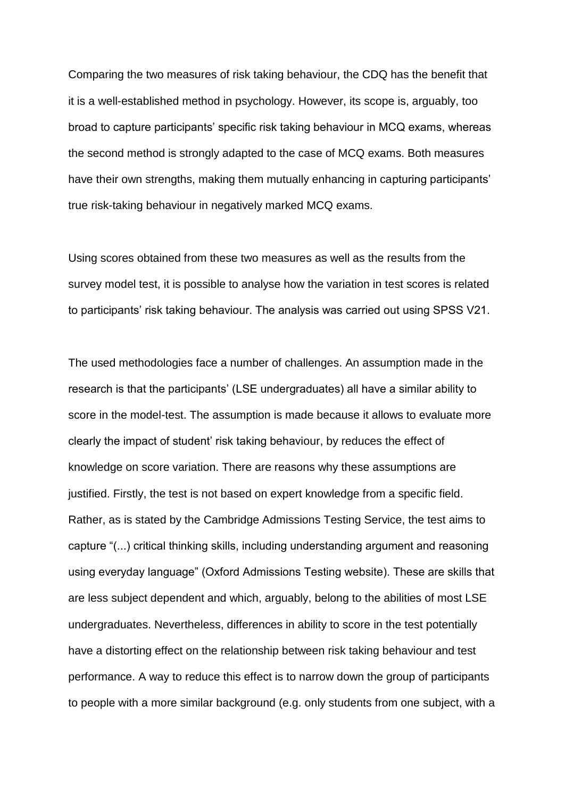Comparing the two measures of risk taking behaviour, the CDQ has the benefit that it is a well-established method in psychology. However, its scope is, arguably, too broad to capture participants' specific risk taking behaviour in MCQ exams, whereas the second method is strongly adapted to the case of MCQ exams. Both measures have their own strengths, making them mutually enhancing in capturing participants' true risk-taking behaviour in negatively marked MCQ exams.

Using scores obtained from these two measures as well as the results from the survey model test, it is possible to analyse how the variation in test scores is related to participants' risk taking behaviour. The analysis was carried out using SPSS V21.

The used methodologies face a number of challenges. An assumption made in the research is that the participants' (LSE undergraduates) all have a similar ability to score in the model-test. The assumption is made because it allows to evaluate more clearly the impact of student' risk taking behaviour, by reduces the effect of knowledge on score variation. There are reasons why these assumptions are justified. Firstly, the test is not based on expert knowledge from a specific field. Rather, as is stated by the Cambridge Admissions Testing Service, the test aims to capture "(...) critical thinking skills, including understanding argument and reasoning using everyday language" (Oxford Admissions Testing website). These are skills that are less subject dependent and which, arguably, belong to the abilities of most LSE undergraduates. Nevertheless, differences in ability to score in the test potentially have a distorting effect on the relationship between risk taking behaviour and test performance. A way to reduce this effect is to narrow down the group of participants to people with a more similar background (e.g. only students from one subject, with a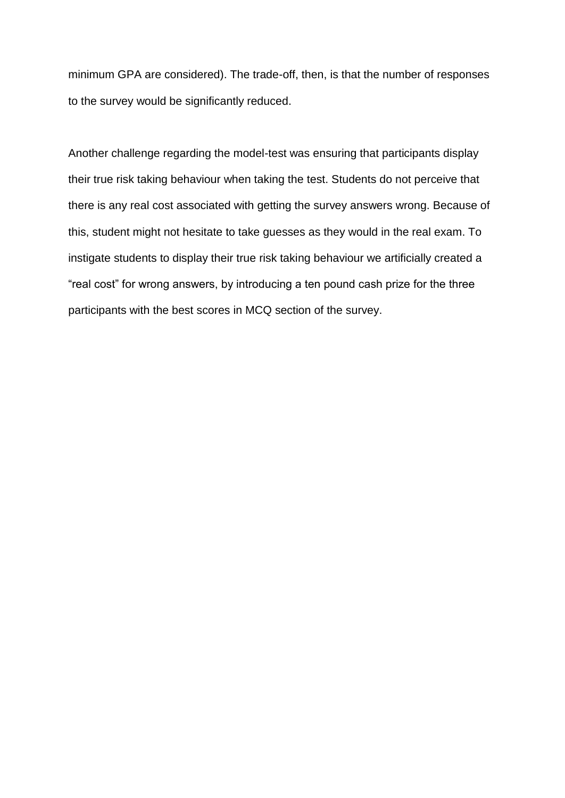minimum GPA are considered). The trade-off, then, is that the number of responses to the survey would be significantly reduced.

Another challenge regarding the model-test was ensuring that participants display their true risk taking behaviour when taking the test. Students do not perceive that there is any real cost associated with getting the survey answers wrong. Because of this, student might not hesitate to take guesses as they would in the real exam. To instigate students to display their true risk taking behaviour we artificially created a "real cost" for wrong answers, by introducing a ten pound cash prize for the three participants with the best scores in MCQ section of the survey.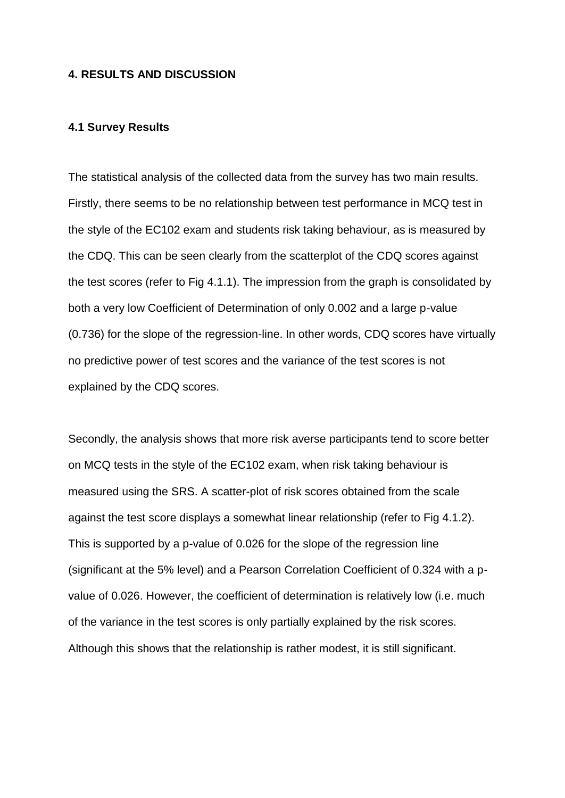#### **4. RESULTS AND DISCUSSION**

#### **4.1 Survey Results**

The statistical analysis of the collected data from the survey has two main results. Firstly, there seems to be no relationship between test performance in MCQ test in the style of the EC102 exam and students risk taking behaviour, as is measured by the CDQ. This can be seen clearly from the scatterplot of the CDQ scores against the test scores (refer to Fig 4.1.1). The impression from the graph is consolidated by both a very low Coefficient of Determination of only 0.002 and a large p-value (0.736) for the slope of the regression-line. In other words, CDQ scores have virtually no predictive power of test scores and the variance of the test scores is not explained by the CDQ scores.

Secondly, the analysis shows that more risk averse participants tend to score better on MCQ tests in the style of the EC102 exam, when risk taking behaviour is measured using the SRS. A scatter-plot of risk scores obtained from the scale against the test score displays a somewhat linear relationship (refer to Fig 4.1.2). This is supported by a p-value of 0.026 for the slope of the regression line (significant at the 5% level) and a Pearson Correlation Coefficient of 0.324 with a pvalue of 0.026. However, the coefficient of determination is relatively low (i.e. much of the variance in the test scores is only partially explained by the risk scores. Although this shows that the relationship is rather modest, it is still significant.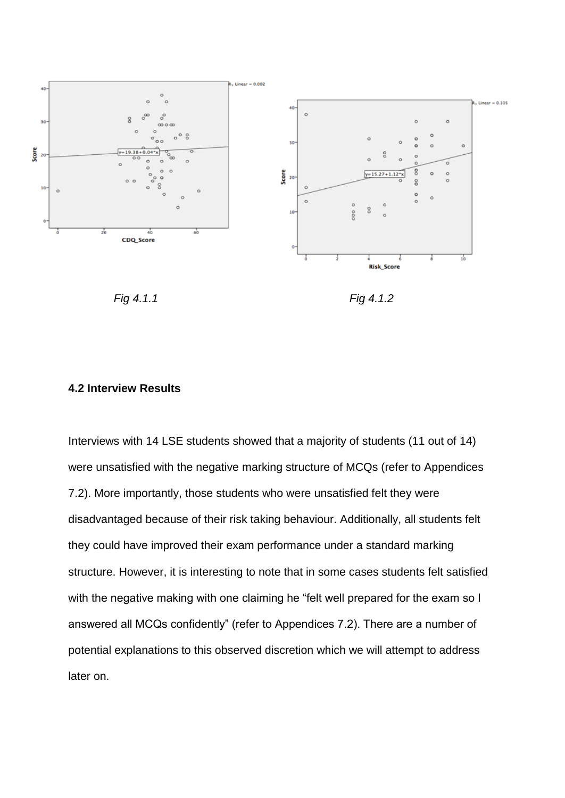

*Fig 4.1.1 Fig 4.1.2*

#### **4.2 Interview Results**

Interviews with 14 LSE students showed that a majority of students (11 out of 14) were unsatisfied with the negative marking structure of MCQs (refer to Appendices 7.2). More importantly, those students who were unsatisfied felt they were disadvantaged because of their risk taking behaviour. Additionally, all students felt they could have improved their exam performance under a standard marking structure. However, it is interesting to note that in some cases students felt satisfied with the negative making with one claiming he "felt well prepared for the exam so I answered all MCQs confidently" (refer to Appendices 7.2). There are a number of potential explanations to this observed discretion which we will attempt to address later on.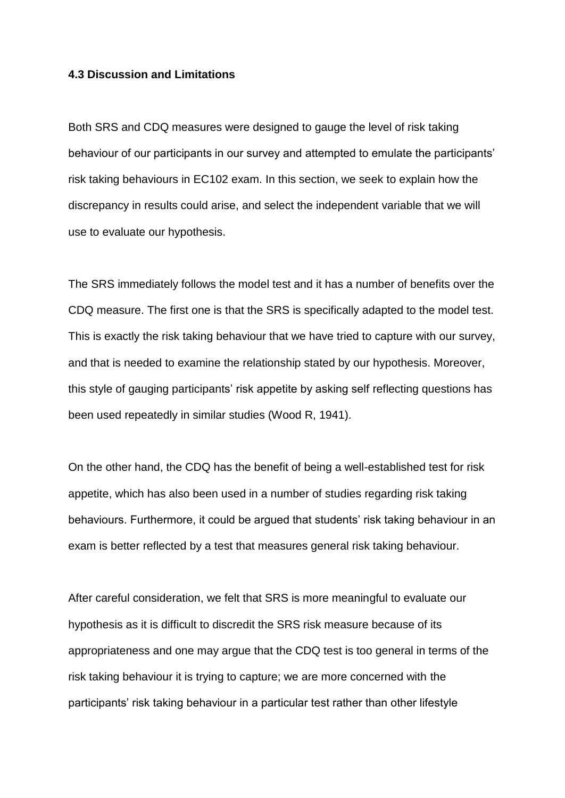#### **4.3 Discussion and Limitations**

Both SRS and CDQ measures were designed to gauge the level of risk taking behaviour of our participants in our survey and attempted to emulate the participants' risk taking behaviours in EC102 exam. In this section, we seek to explain how the discrepancy in results could arise, and select the independent variable that we will use to evaluate our hypothesis.

The SRS immediately follows the model test and it has a number of benefits over the CDQ measure. The first one is that the SRS is specifically adapted to the model test. This is exactly the risk taking behaviour that we have tried to capture with our survey, and that is needed to examine the relationship stated by our hypothesis. Moreover, this style of gauging participants' risk appetite by asking self reflecting questions has been used repeatedly in similar studies (Wood R, 1941).

On the other hand, the CDQ has the benefit of being a well-established test for risk appetite, which has also been used in a number of studies regarding risk taking behaviours. Furthermore, it could be argued that students' risk taking behaviour in an exam is better reflected by a test that measures general risk taking behaviour.

After careful consideration, we felt that SRS is more meaningful to evaluate our hypothesis as it is difficult to discredit the SRS risk measure because of its appropriateness and one may argue that the CDQ test is too general in terms of the risk taking behaviour it is trying to capture; we are more concerned with the participants' risk taking behaviour in a particular test rather than other lifestyle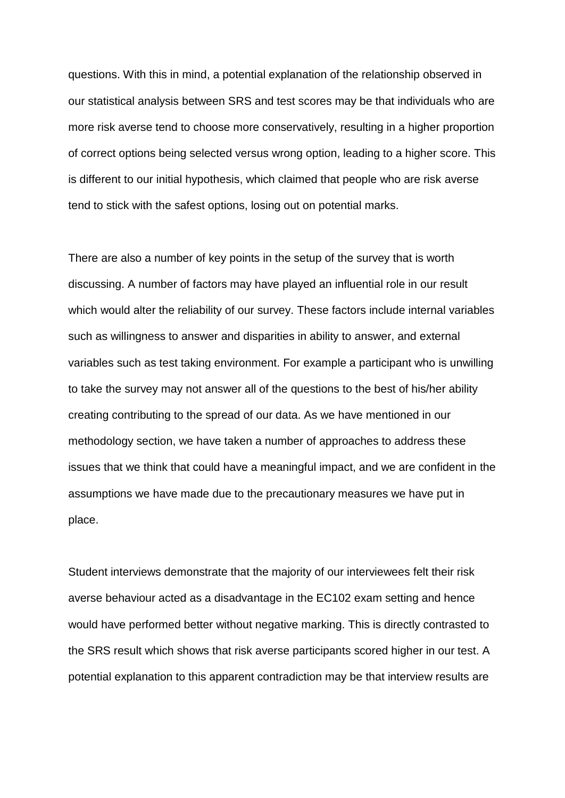questions. With this in mind, a potential explanation of the relationship observed in our statistical analysis between SRS and test scores may be that individuals who are more risk averse tend to choose more conservatively, resulting in a higher proportion of correct options being selected versus wrong option, leading to a higher score. This is different to our initial hypothesis, which claimed that people who are risk averse tend to stick with the safest options, losing out on potential marks.

There are also a number of key points in the setup of the survey that is worth discussing. A number of factors may have played an influential role in our result which would alter the reliability of our survey. These factors include internal variables such as willingness to answer and disparities in ability to answer, and external variables such as test taking environment. For example a participant who is unwilling to take the survey may not answer all of the questions to the best of his/her ability creating contributing to the spread of our data. As we have mentioned in our methodology section, we have taken a number of approaches to address these issues that we think that could have a meaningful impact, and we are confident in the assumptions we have made due to the precautionary measures we have put in place.

Student interviews demonstrate that the majority of our interviewees felt their risk averse behaviour acted as a disadvantage in the EC102 exam setting and hence would have performed better without negative marking. This is directly contrasted to the SRS result which shows that risk averse participants scored higher in our test. A potential explanation to this apparent contradiction may be that interview results are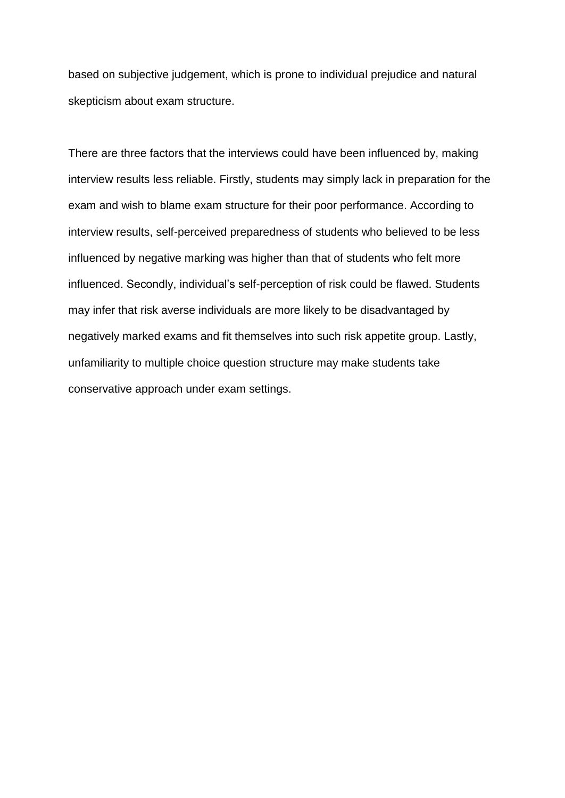based on subjective judgement, which is prone to individual prejudice and natural skepticism about exam structure.

There are three factors that the interviews could have been influenced by, making interview results less reliable. Firstly, students may simply lack in preparation for the exam and wish to blame exam structure for their poor performance. According to interview results, self-perceived preparedness of students who believed to be less influenced by negative marking was higher than that of students who felt more influenced. Secondly, individual's self-perception of risk could be flawed. Students may infer that risk averse individuals are more likely to be disadvantaged by negatively marked exams and fit themselves into such risk appetite group. Lastly, unfamiliarity to multiple choice question structure may make students take conservative approach under exam settings.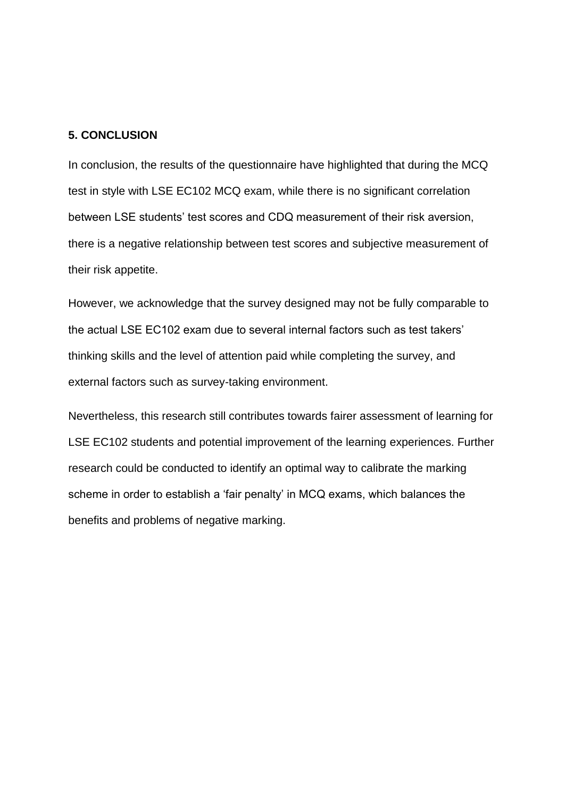#### **5. CONCLUSION**

In conclusion, the results of the questionnaire have highlighted that during the MCQ test in style with LSE EC102 MCQ exam, while there is no significant correlation between LSE students' test scores and CDQ measurement of their risk aversion, there is a negative relationship between test scores and subjective measurement of their risk appetite.

However, we acknowledge that the survey designed may not be fully comparable to the actual LSE EC102 exam due to several internal factors such as test takers' thinking skills and the level of attention paid while completing the survey, and external factors such as survey-taking environment.

Nevertheless, this research still contributes towards fairer assessment of learning for LSE EC102 students and potential improvement of the learning experiences. Further research could be conducted to identify an optimal way to calibrate the marking scheme in order to establish a 'fair penalty' in MCQ exams, which balances the benefits and problems of negative marking.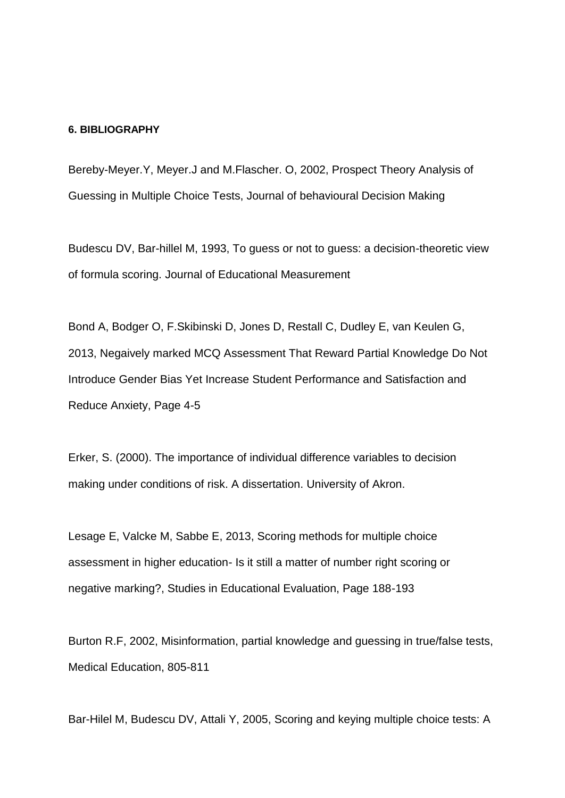#### **6. BIBLIOGRAPHY**

Bereby-Meyer.Y, Meyer.J and M.Flascher. O, 2002, Prospect Theory Analysis of Guessing in Multiple Choice Tests, Journal of behavioural Decision Making

Budescu DV, Bar-hillel M, 1993, To guess or not to guess: a decision-theoretic view of formula scoring. Journal of Educational Measurement

Bond A, Bodger O, F.Skibinski D, Jones D, Restall C, Dudley E, van Keulen G, 2013, Negaively marked MCQ Assessment That Reward Partial Knowledge Do Not Introduce Gender Bias Yet Increase Student Performance and Satisfaction and Reduce Anxiety, Page 4-5

Erker, S. (2000). The importance of individual difference variables to decision making under conditions of risk. A dissertation. University of Akron.

Lesage E, Valcke M, Sabbe E, 2013, Scoring methods for multiple choice assessment in higher education- Is it still a matter of number right scoring or negative marking?, Studies in Educational Evaluation, Page 188-193

Burton R.F, 2002, Misinformation, partial knowledge and guessing in true/false tests, Medical Education, 805-811

Bar-Hilel M, Budescu DV, Attali Y, 2005, Scoring and keying multiple choice tests: A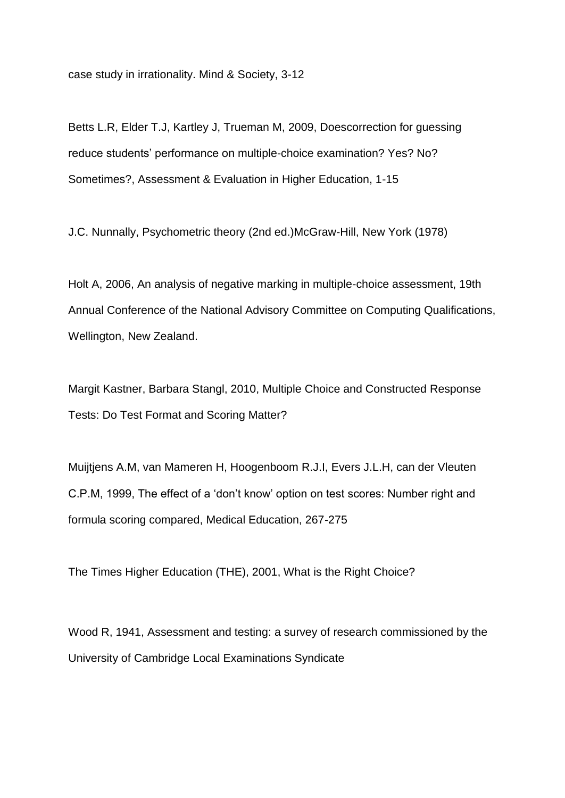case study in irrationality. Mind & Society, 3-12

Betts L.R, Elder T.J, Kartley J, Trueman M, 2009, Doescorrection for guessing reduce students' performance on multiple-choice examination? Yes? No? Sometimes?, Assessment & Evaluation in Higher Education, 1-15

J.C. Nunnally, Psychometric theory (2nd ed.)McGraw-Hill, New York (1978)

Holt A, 2006, An analysis of negative marking in multiple-choice assessment, 19th Annual Conference of the National Advisory Committee on Computing Qualifications, Wellington, New Zealand.

Margit Kastner, Barbara Stangl, 2010, Multiple Choice and Constructed Response Tests: Do Test Format and Scoring Matter?

Muijtjens A.M, van Mameren H, Hoogenboom R.J.I, Evers J.L.H, can der Vleuten C.P.M, 1999, The effect of a 'don't know' option on test scores: Number right and formula scoring compared, Medical Education, 267-275

The Times Higher Education (THE), 2001, What is the Right Choice?

Wood R, 1941, Assessment and testing: a survey of research commissioned by the University of Cambridge Local Examinations Syndicate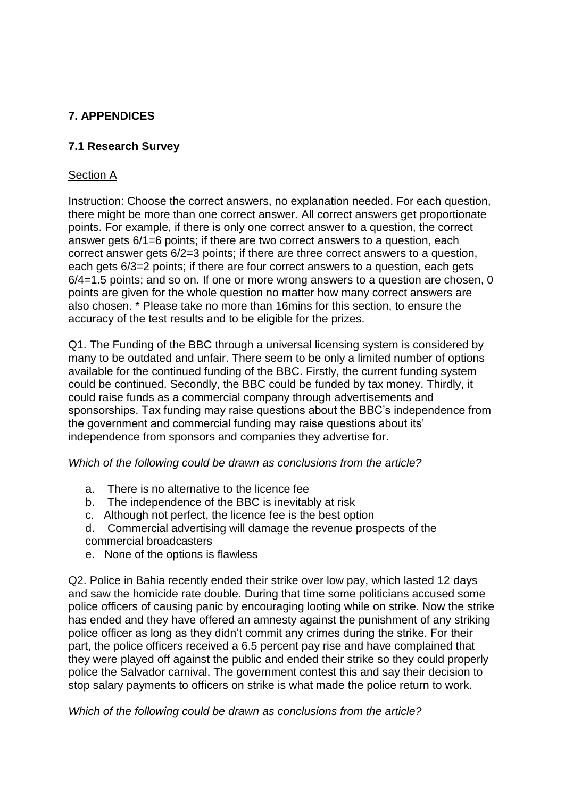# **7. APPENDICES**

### **7.1 Research Survey**

### Section A

Instruction: Choose the correct answers, no explanation needed. For each question, there might be more than one correct answer. All correct answers get proportionate points. For example, if there is only one correct answer to a question, the correct answer gets 6/1=6 points; if there are two correct answers to a question, each correct answer gets 6/2=3 points; if there are three correct answers to a question, each gets 6/3=2 points; if there are four correct answers to a question, each gets 6/4=1.5 points; and so on. If one or more wrong answers to a question are chosen, 0 points are given for the whole question no matter how many correct answers are also chosen. \* Please take no more than 16mins for this section, to ensure the accuracy of the test results and to be eligible for the prizes.

Q1. The Funding of the BBC through a universal licensing system is considered by many to be outdated and unfair. There seem to be only a limited number of options available for the continued funding of the BBC. Firstly, the current funding system could be continued. Secondly, the BBC could be funded by tax money. Thirdly, it could raise funds as a commercial company through advertisements and sponsorships. Tax funding may raise questions about the BBC's independence from the government and commercial funding may raise questions about its' independence from sponsors and companies they advertise for.

#### *Which of the following could be drawn as conclusions from the article?*

- a. There is no alternative to the licence fee
- b. The independence of the BBC is inevitably at risk
- c. Although not perfect, the licence fee is the best option
- d. Commercial advertising will damage the revenue prospects of the commercial broadcasters
- e. None of the options is flawless

Q2. Police in Bahia recently ended their strike over low pay, which lasted 12 days and saw the homicide rate double. During that time some politicians accused some police officers of causing panic by encouraging looting while on strike. Now the strike has ended and they have offered an amnesty against the punishment of any striking police officer as long as they didn't commit any crimes during the strike. For their part, the police officers received a 6.5 percent pay rise and have complained that they were played off against the public and ended their strike so they could properly police the Salvador carnival. The government contest this and say their decision to stop salary payments to officers on strike is what made the police return to work.

*Which of the following could be drawn as conclusions from the article?*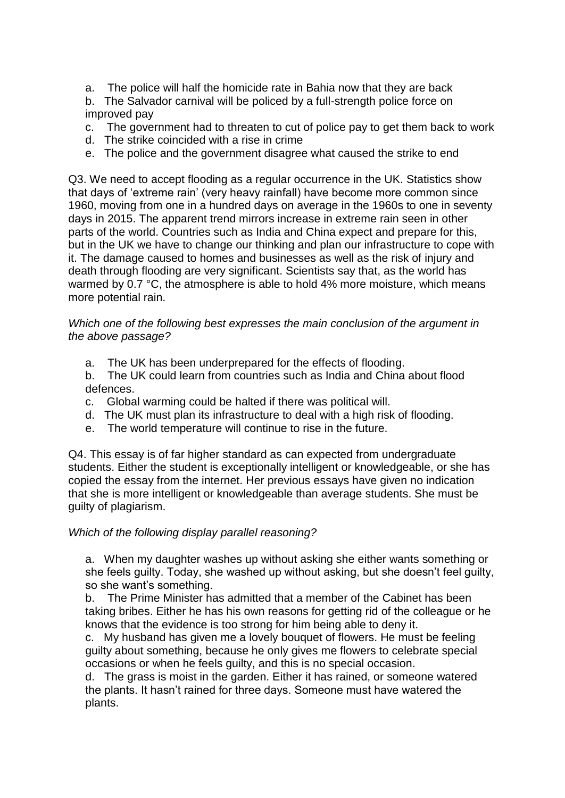a. The police will half the homicide rate in Bahia now that they are back

b. The Salvador carnival will be policed by a full-strength police force on improved pay

- c. The government had to threaten to cut of police pay to get them back to work
- d. The strike coincided with a rise in crime
- e. The police and the government disagree what caused the strike to end

Q3. We need to accept flooding as a regular occurrence in the UK. Statistics show that days of 'extreme rain' (very heavy rainfall) have become more common since 1960, moving from one in a hundred days on average in the 1960s to one in seventy days in 2015. The apparent trend mirrors increase in extreme rain seen in other parts of the world. Countries such as India and China expect and prepare for this, but in the UK we have to change our thinking and plan our infrastructure to cope with it. The damage caused to homes and businesses as well as the risk of injury and death through flooding are very significant. Scientists say that, as the world has warmed by 0.7 °C, the atmosphere is able to hold 4% more moisture, which means more potential rain.

#### *Which one of the following best expresses the main conclusion of the argument in the above passage?*

a. The UK has been underprepared for the effects of flooding.

b. The UK could learn from countries such as India and China about flood defences.

- c. Global warming could be halted if there was political will.
- d. The UK must plan its infrastructure to deal with a high risk of flooding.
- e. The world temperature will continue to rise in the future.

Q4. This essay is of far higher standard as can expected from undergraduate students. Either the student is exceptionally intelligent or knowledgeable, or she has copied the essay from the internet. Her previous essays have given no indication that she is more intelligent or knowledgeable than average students. She must be guilty of plagiarism.

#### *Which of the following display parallel reasoning?*

a. When my daughter washes up without asking she either wants something or she feels guilty. Today, she washed up without asking, but she doesn't feel guilty, so she want's something.

b. The Prime Minister has admitted that a member of the Cabinet has been taking bribes. Either he has his own reasons for getting rid of the colleague or he knows that the evidence is too strong for him being able to deny it.

c. My husband has given me a lovely bouquet of flowers. He must be feeling guilty about something, because he only gives me flowers to celebrate special occasions or when he feels guilty, and this is no special occasion.

d. The grass is moist in the garden. Either it has rained, or someone watered the plants. It hasn't rained for three days. Someone must have watered the plants.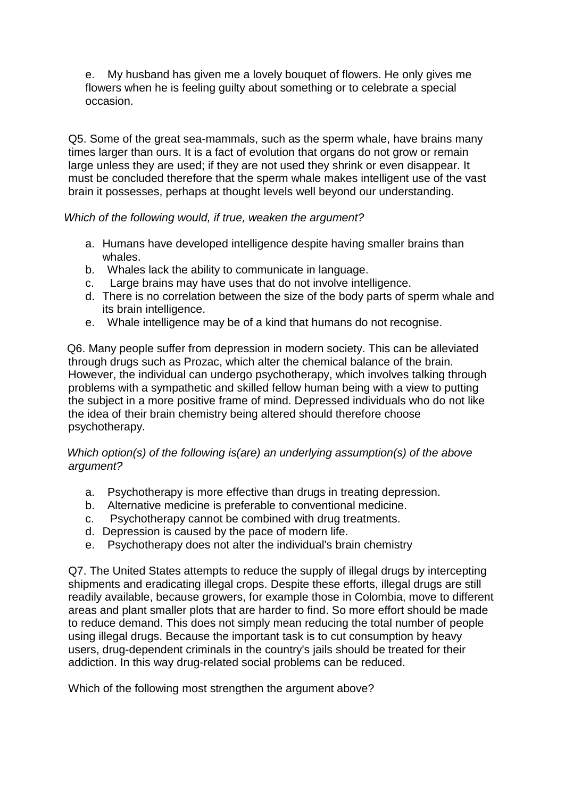e. My husband has given me a lovely bouquet of flowers. He only gives me flowers when he is feeling guilty about something or to celebrate a special occasion.

Q5. Some of the great sea-mammals, such as the sperm whale, have brains many times larger than ours. It is a fact of evolution that organs do not grow or remain large unless they are used; if they are not used they shrink or even disappear. It must be concluded therefore that the sperm whale makes intelligent use of the vast brain it possesses, perhaps at thought levels well beyond our understanding.

### *Which of the following would, if true, weaken the argument?*

- a. Humans have developed intelligence despite having smaller brains than whales.
- b. Whales lack the ability to communicate in language.
- c. Large brains may have uses that do not involve intelligence.
- d. There is no correlation between the size of the body parts of sperm whale and its brain intelligence.
- e. Whale intelligence may be of a kind that humans do not recognise.

 Q6. Many people suffer from depression in modern society. This can be alleviated through drugs such as Prozac, which alter the chemical balance of the brain. However, the individual can undergo psychotherapy, which involves talking through problems with a sympathetic and skilled fellow human being with a view to putting the subject in a more positive frame of mind. Depressed individuals who do not like the idea of their brain chemistry being altered should therefore choose psychotherapy.

### *Which option(s) of the following is(are) an underlying assumption(s) of the above argument?*

- a. Psychotherapy is more effective than drugs in treating depression.
- b. Alternative medicine is preferable to conventional medicine.
- c. Psychotherapy cannot be combined with drug treatments.
- d. Depression is caused by the pace of modern life.
- e. Psychotherapy does not alter the individual's brain chemistry

Q7. The United States attempts to reduce the supply of illegal drugs by intercepting shipments and eradicating illegal crops. Despite these efforts, illegal drugs are still readily available, because growers, for example those in Colombia, move to different areas and plant smaller plots that are harder to find. So more effort should be made to reduce demand. This does not simply mean reducing the total number of people using illegal drugs. Because the important task is to cut consumption by heavy users, drug-dependent criminals in the country's jails should be treated for their addiction. In this way drug-related social problems can be reduced.

Which of the following most strengthen the argument above?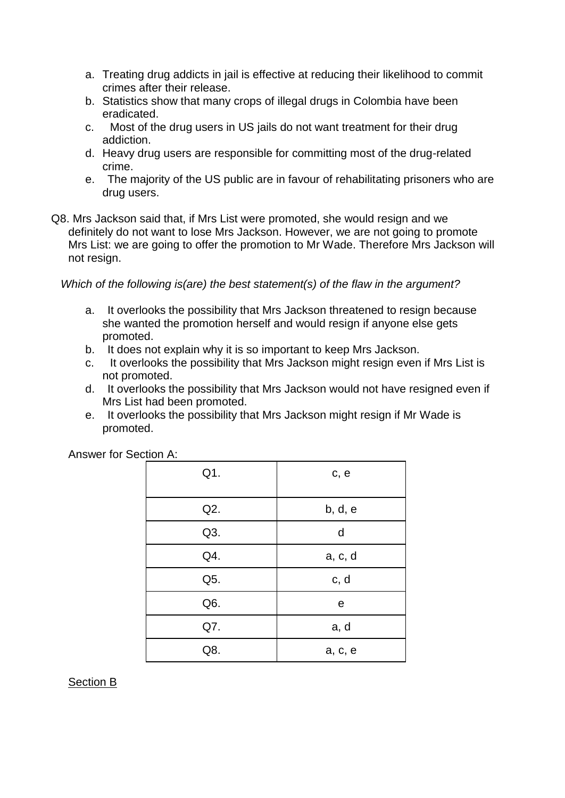- a. Treating drug addicts in jail is effective at reducing their likelihood to commit crimes after their release.
- b. Statistics show that many crops of illegal drugs in Colombia have been eradicated.
- c. Most of the drug users in US jails do not want treatment for their drug addiction.
- d. Heavy drug users are responsible for committing most of the drug-related crime.
- e. The majority of the US public are in favour of rehabilitating prisoners who are drug users.
- Q8. Mrs Jackson said that, if Mrs List were promoted, she would resign and we definitely do not want to lose Mrs Jackson. However, we are not going to promote Mrs List: we are going to offer the promotion to Mr Wade. Therefore Mrs Jackson will not resign.

*Which of the following is(are) the best statement(s) of the flaw in the argument?*

- a. It overlooks the possibility that Mrs Jackson threatened to resign because she wanted the promotion herself and would resign if anyone else gets promoted.
- b. It does not explain why it is so important to keep Mrs Jackson.
- c. It overlooks the possibility that Mrs Jackson might resign even if Mrs List is not promoted.
- d. It overlooks the possibility that Mrs Jackson would not have resigned even if Mrs List had been promoted.
- e. It overlooks the possibility that Mrs Jackson might resign if Mr Wade is promoted.

| Q1. | c, e    |
|-----|---------|
| Q2. | b, d, e |
| Q3. | d       |
| Q4. | a, c, d |
| Q5. | c, d    |
| Q6. | е       |
| Q7. | a, d    |
| Q8. | a, c, e |

Answer for Section A:

Section B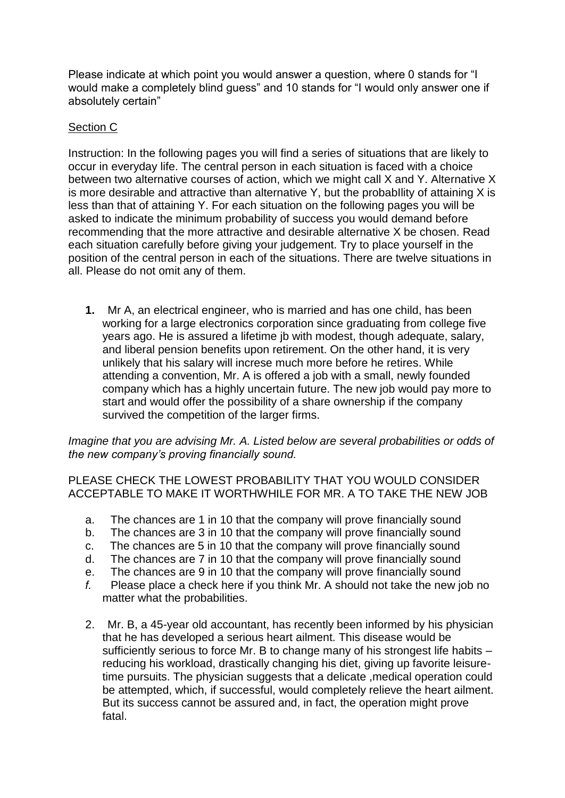Please indicate at which point you would answer a question, where 0 stands for "I would make a completely blind guess" and 10 stands for "I would only answer one if absolutely certain"

### Section C

Instruction: In the following pages you will find a series of situations that are likely to occur in everyday life. The central person in each situation is faced with a choice between two alternative courses of action, which we might call X and Y. Alternative X is more desirable and attractive than alternative Y, but the probabIlity of attaining X is less than that of attaining Y. For each situation on the following pages you will be asked to indicate the minimum probability of success you would demand before recommending that the more attractive and desirable alternative X be chosen. Read each situation carefully before giving your judgement. Try to place yourself in the position of the central person in each of the situations. There are twelve situations in all. Please do not omit any of them.

**1.** Mr A, an electrical engineer, who is married and has one child, has been working for a large electronics corporation since graduating from college five years ago. He is assured a lifetime jb with modest, though adequate, salary, and liberal pension benefits upon retirement. On the other hand, it is very unlikely that his salary will increse much more before he retires. While attending a convention, Mr. A is offered a job with a small, newly founded company which has a highly uncertain future. The new job would pay more to start and would offer the possibility of a share ownership if the company survived the competition of the larger firms.

*Imagine that you are advising Mr. A. Listed below are several probabilities or odds of the new company's proving financially sound.*

PLEASE CHECK THE LOWEST PROBABILITY THAT YOU WOULD CONSIDER ACCEPTABLE TO MAKE IT WORTHWHILE FOR MR. A TO TAKE THE NEW JOB

- a. The chances are 1 in 10 that the company will prove financially sound
- b. The chances are 3 in 10 that the company will prove financially sound
- c. The chances are 5 in 10 that the company will prove financially sound
- d. The chances are 7 in 10 that the company will prove financially sound
- e. The chances are 9 in 10 that the company will prove financially sound
- *f.* Please place a check here if you think Mr. A should not take the new job no matter what the probabilities.
- 2. Mr. B, a 45-year old accountant, has recently been informed by his physician that he has developed a serious heart ailment. This disease would be sufficiently serious to force Mr. B to change many of his strongest life habits – reducing his workload, drastically changing his diet, giving up favorite leisuretime pursuits. The physician suggests that a delicate ,medical operation could be attempted, which, if successful, would completely relieve the heart ailment. But its success cannot be assured and, in fact, the operation might prove fatal.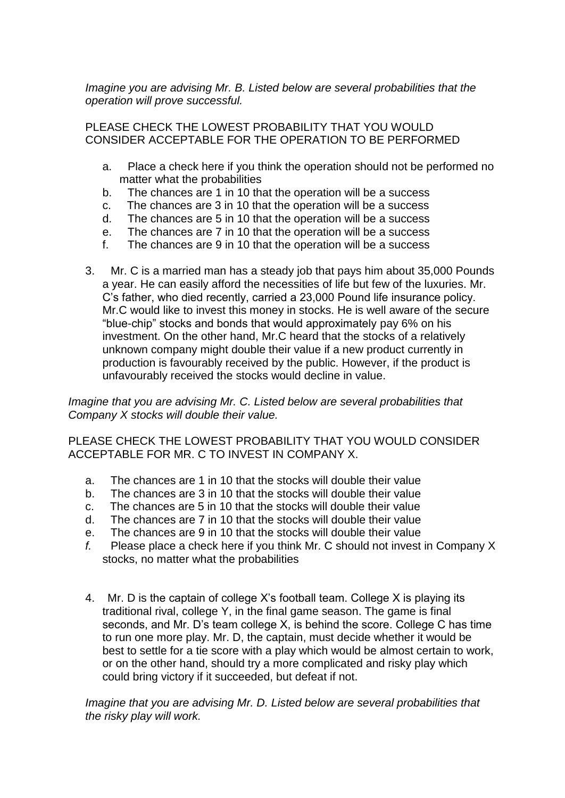*Imagine you are advising Mr. B. Listed below are several probabilities that the operation will prove successful.*

PLEASE CHECK THE LOWEST PROBABILITY THAT YOU WOULD CONSIDER ACCEPTABLE FOR THE OPERATION TO BE PERFORMED

- a. Place a check here if you think the operation should not be performed no matter what the probabilities
- b. The chances are 1 in 10 that the operation will be a success
- c. The chances are 3 in 10 that the operation will be a success
- d. The chances are 5 in 10 that the operation will be a success
- e. The chances are 7 in 10 that the operation will be a success
- f. The chances are 9 in 10 that the operation will be a success
- 3. Mr. C is a married man has a steady job that pays him about 35,000 Pounds a year. He can easily afford the necessities of life but few of the luxuries. Mr. C's father, who died recently, carried a 23,000 Pound life insurance policy. Mr.C would like to invest this money in stocks. He is well aware of the secure "blue-chip" stocks and bonds that would approximately pay 6% on his investment. On the other hand, Mr.C heard that the stocks of a relatively unknown company might double their value if a new product currently in production is favourably received by the public. However, if the product is unfavourably received the stocks would decline in value.

*Imagine that you are advising Mr. C. Listed below are several probabilities that Company X stocks will double their value.*

PLEASE CHECK THE LOWEST PROBABILITY THAT YOU WOULD CONSIDER ACCEPTABLE FOR MR. C TO INVEST IN COMPANY X.

- a. The chances are 1 in 10 that the stocks will double their value
- b. The chances are 3 in 10 that the stocks will double their value
- c. The chances are 5 in 10 that the stocks will double their value
- d. The chances are 7 in 10 that the stocks will double their value
- e. The chances are 9 in 10 that the stocks will double their value
- *f.* Please place a check here if you think Mr. C should not invest in Company X stocks, no matter what the probabilities
- 4. Mr. D is the captain of college X's football team. College X is playing its traditional rival, college Y, in the final game season. The game is final seconds, and Mr. D's team college X, is behind the score. College C has time to run one more play. Mr. D, the captain, must decide whether it would be best to settle for a tie score with a play which would be almost certain to work, or on the other hand, should try a more complicated and risky play which could bring victory if it succeeded, but defeat if not.

*Imagine that you are advising Mr. D. Listed below are several probabilities that the risky play will work.*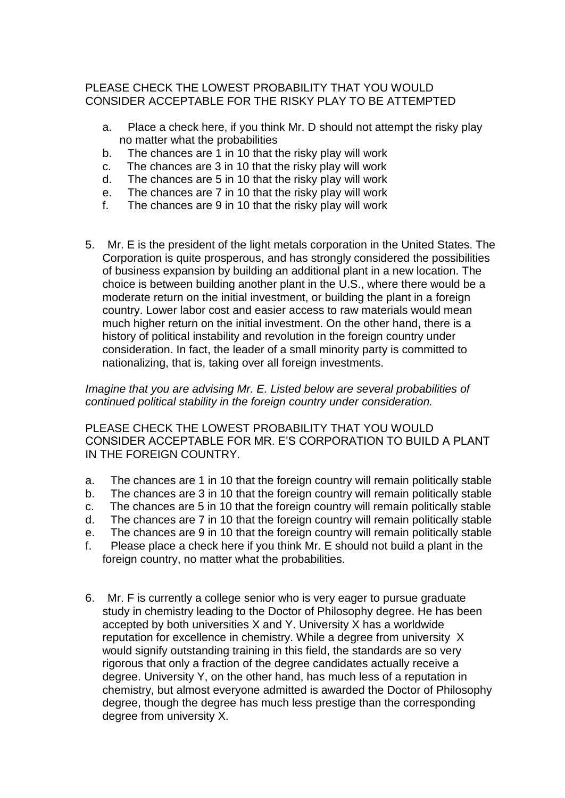### PLEASE CHECK THE LOWEST PROBABILITY THAT YOU WOULD CONSIDER ACCEPTABLE FOR THE RISKY PLAY TO BE ATTEMPTED

- a. Place a check here, if you think Mr. D should not attempt the risky play no matter what the probabilities
- b. The chances are 1 in 10 that the risky play will work
- c. The chances are 3 in 10 that the risky play will work
- d. The chances are 5 in 10 that the risky play will work
- e. The chances are 7 in 10 that the risky play will work
- f. The chances are 9 in 10 that the risky play will work
- 5. Mr. E is the president of the light metals corporation in the United States. The Corporation is quite prosperous, and has strongly considered the possibilities of business expansion by building an additional plant in a new location. The choice is between building another plant in the U.S., where there would be a moderate return on the initial investment, or building the plant in a foreign country. Lower labor cost and easier access to raw materials would mean much higher return on the initial investment. On the other hand, there is a history of political instability and revolution in the foreign country under consideration. In fact, the leader of a small minority party is committed to nationalizing, that is, taking over all foreign investments.

*Imagine that you are advising Mr. E. Listed below are several probabilities of continued political stability in the foreign country under consideration.*

PLEASE CHECK THE LOWEST PROBABILITY THAT YOU WOULD CONSIDER ACCEPTABLE FOR MR. E'S CORPORATION TO BUILD A PLANT IN THE FOREIGN COUNTRY.

- a. The chances are 1 in 10 that the foreign country will remain politically stable
- b. The chances are 3 in 10 that the foreign country will remain politically stable
- c. The chances are 5 in 10 that the foreign country will remain politically stable
- d. The chances are 7 in 10 that the foreign country will remain politically stable
- e. The chances are 9 in 10 that the foreign country will remain politically stable
- f. Please place a check here if you think Mr. E should not build a plant in the foreign country, no matter what the probabilities.
- 6. Mr. F is currently a college senior who is very eager to pursue graduate study in chemistry leading to the Doctor of Philosophy degree. He has been accepted by both universities X and Y. University X has a worldwide reputation for excellence in chemistry. While a degree from university X would signify outstanding training in this field, the standards are so very rigorous that only a fraction of the degree candidates actually receive a degree. University Y, on the other hand, has much less of a reputation in chemistry, but almost everyone admitted is awarded the Doctor of Philosophy degree, though the degree has much less prestige than the corresponding degree from university X.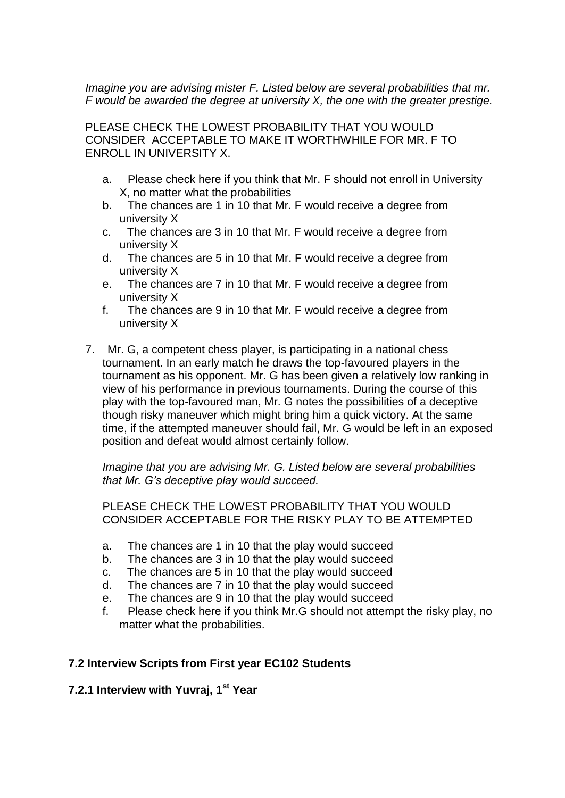*Imagine you are advising mister F. Listed below are several probabilities that mr. F would be awarded the degree at university X, the one with the greater prestige.*

PLEASE CHECK THE LOWEST PROBABILITY THAT YOU WOULD CONSIDER ACCEPTABLE TO MAKE IT WORTHWHILE FOR MR. F TO ENROLL IN UNIVERSITY X.

- a. Please check here if you think that Mr. F should not enroll in University X, no matter what the probabilities
- b. The chances are 1 in 10 that Mr. F would receive a degree from university X
- c. The chances are 3 in 10 that Mr. F would receive a degree from university X
- d. The chances are 5 in 10 that Mr. F would receive a degree from university X
- e. The chances are 7 in 10 that Mr. F would receive a degree from university X
- f. The chances are 9 in 10 that Mr. F would receive a degree from university X
- 7. Mr. G, a competent chess player, is participating in a national chess tournament. In an early match he draws the top-favoured players in the tournament as his opponent. Mr. G has been given a relatively low ranking in view of his performance in previous tournaments. During the course of this play with the top-favoured man, Mr. G notes the possibilities of a deceptive though risky maneuver which might bring him a quick victory. At the same time, if the attempted maneuver should fail, Mr. G would be left in an exposed position and defeat would almost certainly follow.

*Imagine that you are advising Mr. G. Listed below are several probabilities that Mr. G's deceptive play would succeed.*

PLEASE CHECK THE LOWEST PROBABILITY THAT YOU WOULD CONSIDER ACCEPTABLE FOR THE RISKY PLAY TO BE ATTEMPTED

- a. The chances are 1 in 10 that the play would succeed
- b. The chances are 3 in 10 that the play would succeed
- c. The chances are 5 in 10 that the play would succeed
- d. The chances are 7 in 10 that the play would succeed
- e. The chances are 9 in 10 that the play would succeed
- f. Please check here if you think Mr.G should not attempt the risky play, no matter what the probabilities.

#### **7.2 Interview Scripts from First year EC102 Students**

#### **7.2.1 Interview with Yuvraj, 1st Year**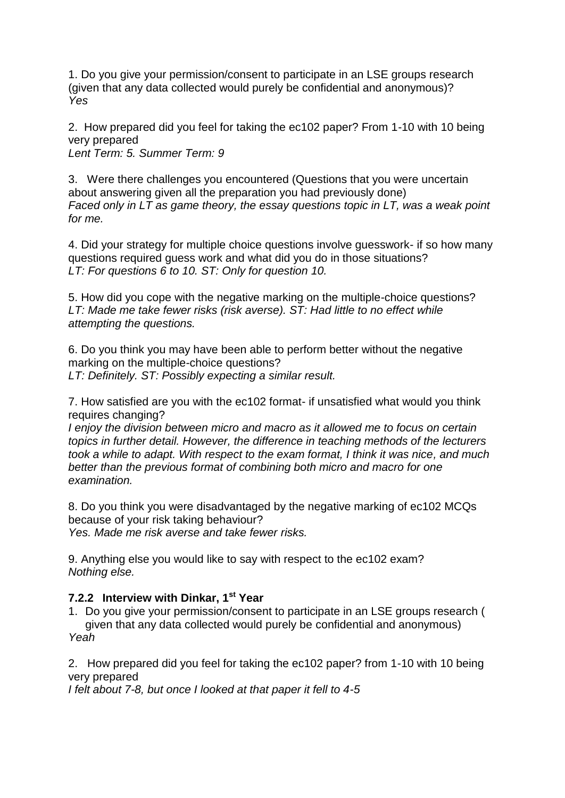1. Do you give your permission/consent to participate in an LSE groups research (given that any data collected would purely be confidential and anonymous)? *Yes* 

2. How prepared did you feel for taking the ec102 paper? From 1-10 with 10 being very prepared

*Lent Term: 5. Summer Term: 9* 

3. Were there challenges you encountered (Questions that you were uncertain about answering given all the preparation you had previously done) *Faced only in LT as game theory, the essay questions topic in LT, was a weak point for me.* 

4. Did your strategy for multiple choice questions involve guesswork- if so how many questions required guess work and what did you do in those situations? *LT: For questions 6 to 10. ST: Only for question 10.* 

5. How did you cope with the negative marking on the multiple-choice questions? *LT: Made me take fewer risks (risk averse). ST: Had little to no effect while attempting the questions.*

6. Do you think you may have been able to perform better without the negative marking on the multiple-choice questions? *LT: Definitely. ST: Possibly expecting a similar result.* 

7. How satisfied are you with the ec102 format- if unsatisfied what would you think requires changing?

*I enjoy the division between micro and macro as it allowed me to focus on certain topics in further detail. However, the difference in teaching methods of the lecturers took a while to adapt. With respect to the exam format, I think it was nice, and much better than the previous format of combining both micro and macro for one examination.* 

8. Do you think you were disadvantaged by the negative marking of ec102 MCQs because of your risk taking behaviour? *Yes. Made me risk averse and take fewer risks.* 

9. Anything else you would like to say with respect to the ec102 exam? *Nothing else.* 

### **7.2.2 Interview with Dinkar, 1st Year**

1. Do you give your permission/consent to participate in an LSE groups research ( given that any data collected would purely be confidential and anonymous) *Yeah*

2. How prepared did you feel for taking the ec102 paper? from 1-10 with 10 being very prepared

*I felt about 7-8, but once I looked at that paper it fell to 4-5*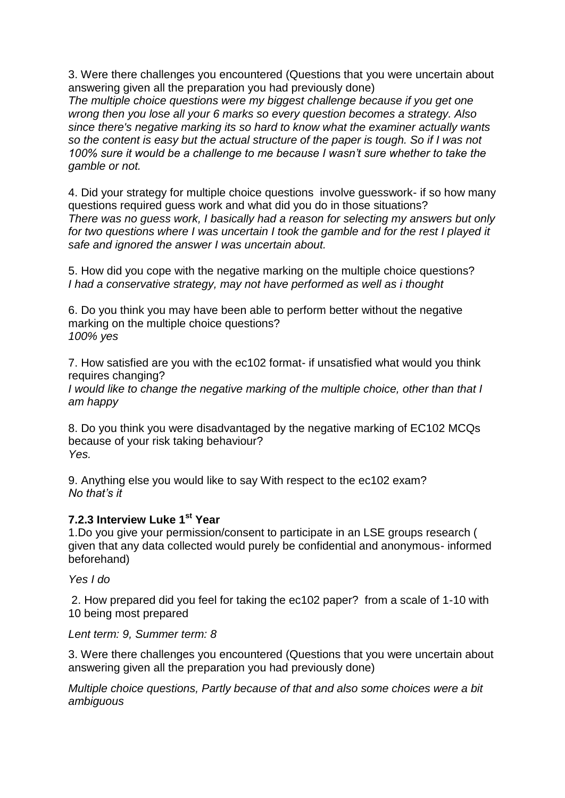3. Were there challenges you encountered (Questions that you were uncertain about answering given all the preparation you had previously done)

*The multiple choice questions were my biggest challenge because if you get one wrong then you lose all your 6 marks so every question becomes a strategy. Also since there's negative marking its so hard to know what the examiner actually wants so the content is easy but the actual structure of the paper is tough. So if I was not 100% sure it would be a challenge to me because I wasn't sure whether to take the gamble or not.*

4. Did your strategy for multiple choice questions involve guesswork- if so how many questions required guess work and what did you do in those situations? *There was no guess work, I basically had a reason for selecting my answers but only for two questions where I was uncertain I took the gamble and for the rest I played it safe and ignored the answer I was uncertain about.*

5. How did you cope with the negative marking on the multiple choice questions? *I had a conservative strategy, may not have performed as well as i thought*

6. Do you think you may have been able to perform better without the negative marking on the multiple choice questions? *100% yes*

7. How satisfied are you with the ec102 format- if unsatisfied what would you think requires changing?

*I would like to change the negative marking of the multiple choice, other than that I am happy*

8. Do you think you were disadvantaged by the negative marking of EC102 MCQs because of your risk taking behaviour? *Yes.* 

9. Anything else you would like to say With respect to the ec102 exam? *No that's it*

### **7.2.3 Interview Luke 1st Year**

1.Do you give your permission/consent to participate in an LSE groups research ( given that any data collected would purely be confidential and anonymous- informed beforehand)

*Yes I do*

2. How prepared did you feel for taking the ec102 paper? from a scale of 1-10 with 10 being most prepared

*Lent term: 9, Summer term: 8*

3. Were there challenges you encountered (Questions that you were uncertain about answering given all the preparation you had previously done)

*Multiple choice questions, Partly because of that and also some choices were a bit ambiguous*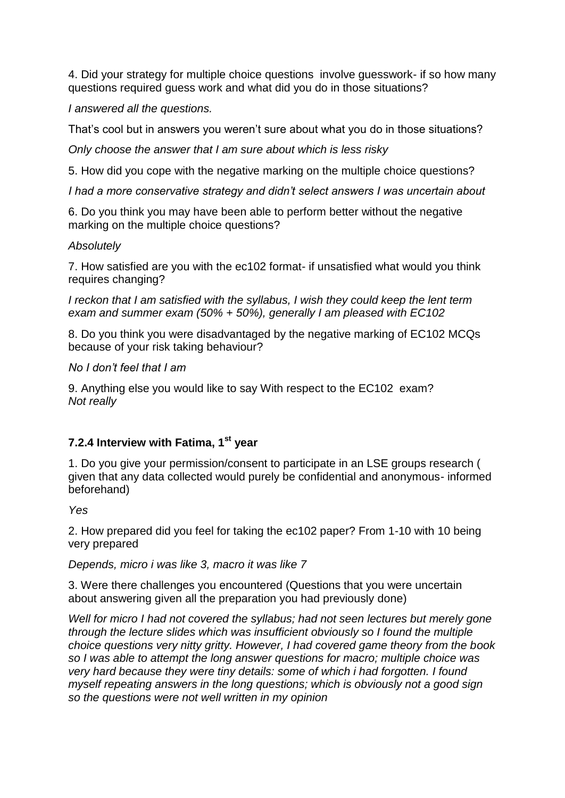4. Did your strategy for multiple choice questions involve guesswork- if so how many questions required guess work and what did you do in those situations?

*I answered all the questions.*

That's cool but in answers you weren't sure about what you do in those situations?

*Only choose the answer that I am sure about which is less risky*

5. How did you cope with the negative marking on the multiple choice questions?

*I had a more conservative strategy and didn't select answers I was uncertain about*

6. Do you think you may have been able to perform better without the negative marking on the multiple choice questions?

#### *Absolutely*

7. How satisfied are you with the ec102 format- if unsatisfied what would you think requires changing?

*I reckon that I am satisfied with the syllabus, I wish they could keep the lent term exam and summer exam (50% + 50%), generally I am pleased with EC102* 

8. Do you think you were disadvantaged by the negative marking of EC102 MCQs because of your risk taking behaviour?

*No I don't feel that I am* 

9. Anything else you would like to say With respect to the EC102 exam? *Not really*

### **7.2.4 Interview with Fatima, 1st year**

1. Do you give your permission/consent to participate in an LSE groups research ( given that any data collected would purely be confidential and anonymous- informed beforehand)

*Yes*

2. How prepared did you feel for taking the ec102 paper? From 1-10 with 10 being very prepared

#### *Depends, micro i was like 3, macro it was like 7*

3. Were there challenges you encountered (Questions that you were uncertain about answering given all the preparation you had previously done)

*Well for micro I had not covered the syllabus; had not seen lectures but merely gone through the lecture slides which was insufficient obviously so I found the multiple choice questions very nitty gritty. However, I had covered game theory from the book so I was able to attempt the long answer questions for macro; multiple choice was very hard because they were tiny details: some of which i had forgotten. I found myself repeating answers in the long questions; which is obviously not a good sign so the questions were not well written in my opinion*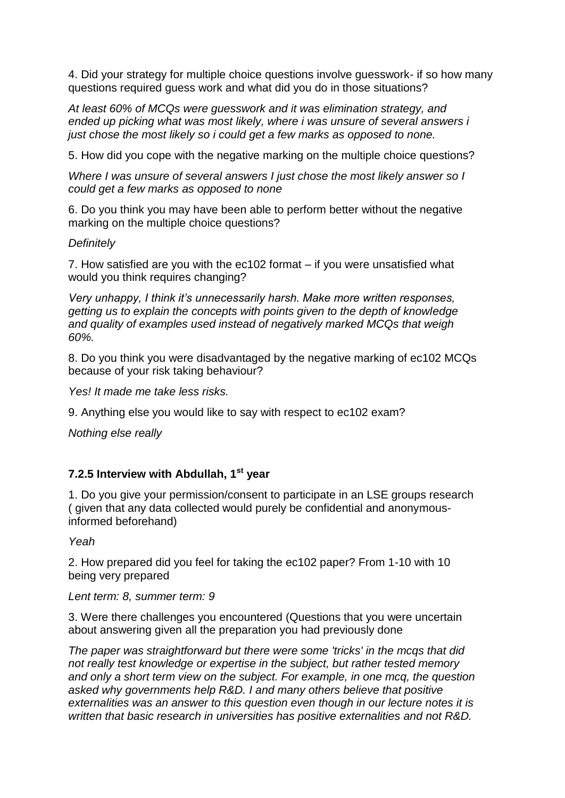4. Did your strategy for multiple choice questions involve guesswork- if so how many questions required guess work and what did you do in those situations?

*At least 60% of MCQs were guesswork and it was elimination strategy, and ended up picking what was most likely, where i was unsure of several answers i just chose the most likely so i could get a few marks as opposed to none.*

5. How did you cope with the negative marking on the multiple choice questions?

*Where I was unsure of several answers I just chose the most likely answer so I could get a few marks as opposed to none*

6. Do you think you may have been able to perform better without the negative marking on the multiple choice questions?

#### *Definitely*

7. How satisfied are you with the ec102 format – if you were unsatisfied what would you think requires changing?

*Very unhappy, I think it's unnecessarily harsh. Make more written responses, getting us to explain the concepts with points given to the depth of knowledge and quality of examples used instead of negatively marked MCQs that weigh 60%.*

8. Do you think you were disadvantaged by the negative marking of ec102 MCQs because of your risk taking behaviour?

*Yes! It made me take less risks.*

9. Anything else you would like to say with respect to ec102 exam?

*Nothing else really*

#### **7.2.5 Interview with Abdullah, 1st year**

1. Do you give your permission/consent to participate in an LSE groups research ( given that any data collected would purely be confidential and anonymousinformed beforehand)

*Yeah*

2. How prepared did you feel for taking the ec102 paper? From 1-10 with 10 being very prepared

*Lent term: 8, summer term: 9*

3. Were there challenges you encountered (Questions that you were uncertain about answering given all the preparation you had previously done

*The paper was straightforward but there were some 'tricks' in the mcqs that did not really test knowledge or expertise in the subject, but rather tested memory and only a short term view on the subject. For example, in one mcq, the question asked why governments help R&D. I and many others believe that positive externalities was an answer to this question even though in our lecture notes it is written that basic research in universities has positive externalities and not R&D.*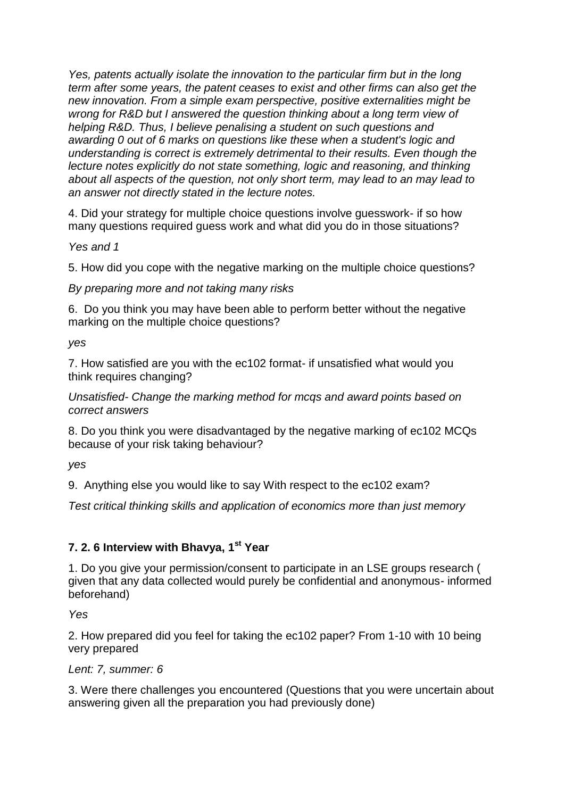*Yes, patents actually isolate the innovation to the particular firm but in the long term after some years, the patent ceases to exist and other firms can also get the new innovation. From a simple exam perspective, positive externalities might be wrong for R&D but I answered the question thinking about a long term view of helping R&D. Thus, I believe penalising a student on such questions and awarding 0 out of 6 marks on questions like these when a student's logic and understanding is correct is extremely detrimental to their results. Even though the lecture notes explicitly do not state something, logic and reasoning, and thinking about all aspects of the question, not only short term, may lead to an may lead to an answer not directly stated in the lecture notes.*

4. Did your strategy for multiple choice questions involve guesswork- if so how many questions required guess work and what did you do in those situations?

*Yes and 1*

5. How did you cope with the negative marking on the multiple choice questions?

*By preparing more and not taking many risks*

6. Do you think you may have been able to perform better without the negative marking on the multiple choice questions?

*yes*

7. How satisfied are you with the ec102 format- if unsatisfied what would you think requires changing?

*Unsatisfied- Change the marking method for mcqs and award points based on correct answers*

8. Do you think you were disadvantaged by the negative marking of ec102 MCQs because of your risk taking behaviour?

*yes*

9. Anything else you would like to say With respect to the ec102 exam?

*Test critical thinking skills and application of economics more than just memory*

### **7. 2. 6 Interview with Bhavya, 1st Year**

1. Do you give your permission/consent to participate in an LSE groups research ( given that any data collected would purely be confidential and anonymous- informed beforehand)

*Yes*

2. How prepared did you feel for taking the ec102 paper? From 1-10 with 10 being very prepared

### *Lent: 7, summer: 6*

3. Were there challenges you encountered (Questions that you were uncertain about answering given all the preparation you had previously done)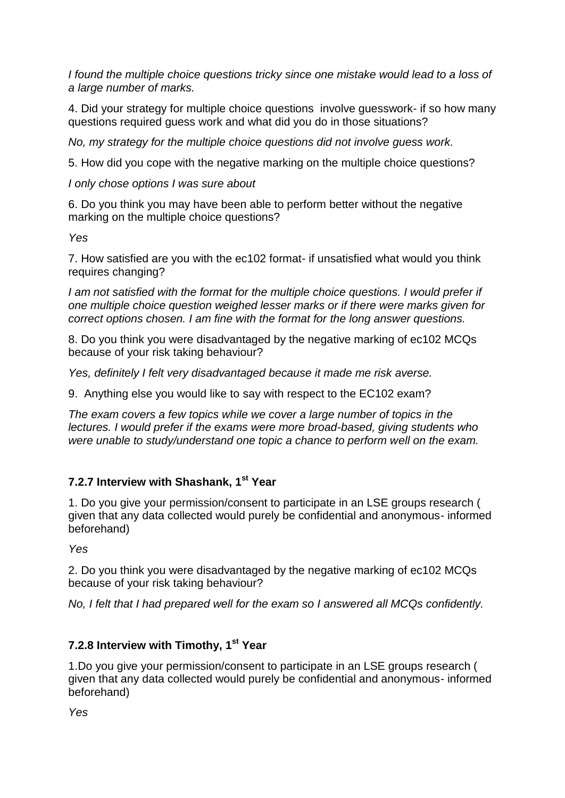*I found the multiple choice questions tricky since one mistake would lead to a loss of a large number of marks.*

4. Did your strategy for multiple choice questions involve guesswork- if so how many questions required guess work and what did you do in those situations?

*No, my strategy for the multiple choice questions did not involve guess work.*

5. How did you cope with the negative marking on the multiple choice questions?

*I only chose options I was sure about*

6. Do you think you may have been able to perform better without the negative marking on the multiple choice questions?

*Yes*

7. How satisfied are you with the ec102 format- if unsatisfied what would you think requires changing?

*I am not satisfied with the format for the multiple choice questions. I would prefer if one multiple choice question weighed lesser marks or if there were marks given for correct options chosen. I am fine with the format for the long answer questions.*

8. Do you think you were disadvantaged by the negative marking of ec102 MCQs because of your risk taking behaviour?

*Yes, definitely I felt very disadvantaged because it made me risk averse.*

9. Anything else you would like to say with respect to the EC102 exam?

*The exam covers a few topics while we cover a large number of topics in the lectures. I would prefer if the exams were more broad-based, giving students who were unable to study/understand one topic a chance to perform well on the exam.*

### **7.2.7 Interview with Shashank, 1st Year**

1. Do you give your permission/consent to participate in an LSE groups research ( given that any data collected would purely be confidential and anonymous- informed beforehand)

*Yes*

2. Do you think you were disadvantaged by the negative marking of ec102 MCQs because of your risk taking behaviour?

*No, I felt that I had prepared well for the exam so I answered all MCQs confidently.*

# **7.2.8 Interview with Timothy, 1st Year**

1.Do you give your permission/consent to participate in an LSE groups research ( given that any data collected would purely be confidential and anonymous- informed beforehand)

*Yes*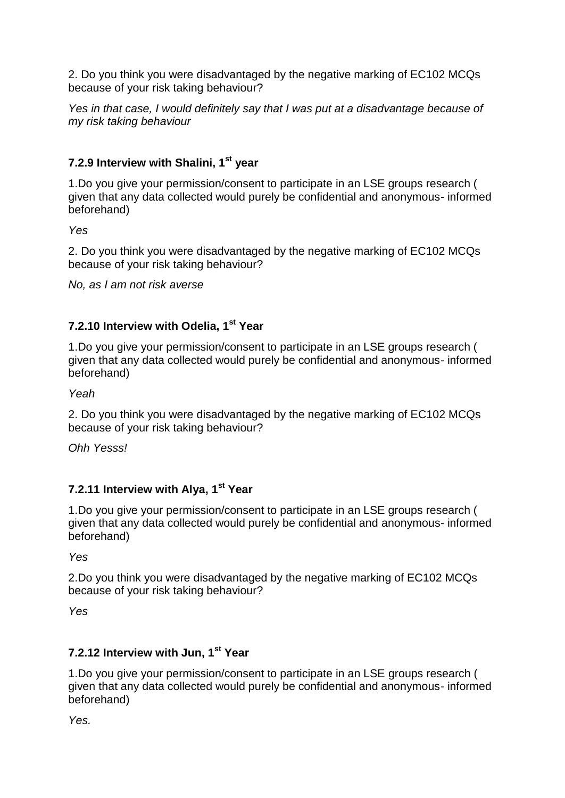2. Do you think you were disadvantaged by the negative marking of EC102 MCQs because of your risk taking behaviour?

*Yes in that case, I would definitely say that I was put at a disadvantage because of my risk taking behaviour*

## **7.2.9 Interview with Shalini, 1st year**

1.Do you give your permission/consent to participate in an LSE groups research ( given that any data collected would purely be confidential and anonymous- informed beforehand)

*Yes* 

2. Do you think you were disadvantaged by the negative marking of EC102 MCQs because of your risk taking behaviour?

*No, as I am not risk averse*

## **7.2.10 Interview with Odelia, 1st Year**

1.Do you give your permission/consent to participate in an LSE groups research ( given that any data collected would purely be confidential and anonymous- informed beforehand)

*Yeah*

2. Do you think you were disadvantaged by the negative marking of EC102 MCQs because of your risk taking behaviour?

*Ohh Yesss!*

## **7.2.11 Interview with Alya, 1st Year**

1.Do you give your permission/consent to participate in an LSE groups research ( given that any data collected would purely be confidential and anonymous- informed beforehand)

*Yes* 

2.Do you think you were disadvantaged by the negative marking of EC102 MCQs because of your risk taking behaviour?

*Yes*

### **7.2.12 Interview with Jun, 1st Year**

1.Do you give your permission/consent to participate in an LSE groups research ( given that any data collected would purely be confidential and anonymous- informed beforehand)

*Yes.*